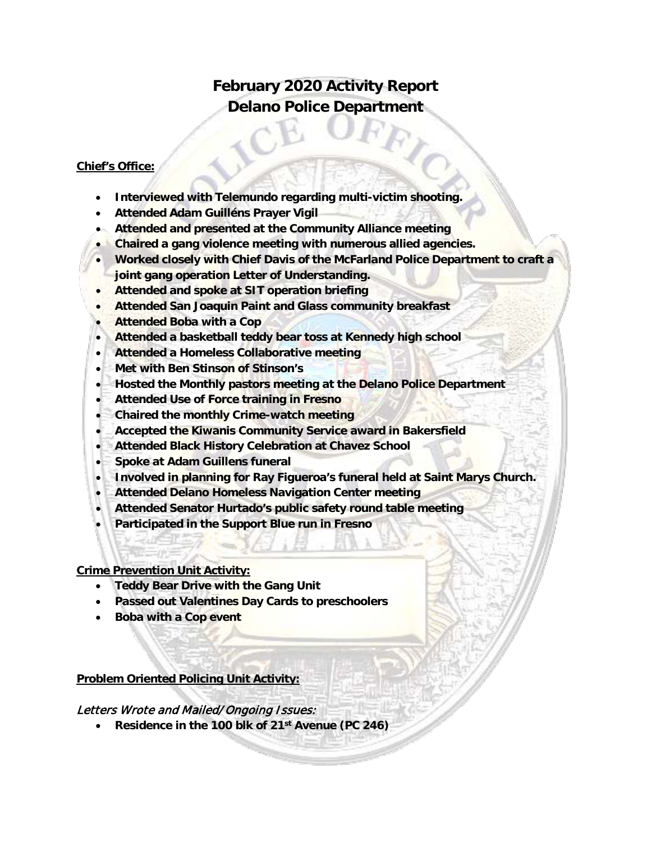# **February 2020 Activity Report Delano Police Department**

## **Chief's Office:**

- **Interviewed with Telemundo regarding multi-victim shooting.**
- **Attended Adam Guilléns Prayer Vigil**
- **Attended and presented at the Community Alliance meeting**
- **Chaired a gang violence meeting with numerous allied agencies.**
- **Worked closely with Chief Davis of the McFarland Police Department to craft a joint gang operation Letter of Understanding.**
- **Attended and spoke at SIT operation briefing**
- **Attended San Joaquin Paint and Glass community breakfast**
- **Attended Boba with a Cop**
- **Attended a basketball teddy bear toss at Kennedy high school**
- **Attended a Homeless Collaborative meeting**
- **Met with Ben Stinson of Stinson's**
- **Hosted the Monthly pastors meeting at the Delano Police Department**
- **Attended Use of Force training in Fresno**
- **Chaired the monthly Crime-watch meeting**
- **Accepted the Kiwanis Community Service award in Bakersfield**
- **Attended Black History Celebration at Chavez School**
- **Spoke at Adam Guillens funeral**
- **Involved in planning for Ray Figueroa's funeral held at Saint Marys Church.**
- **Attended Delano Homeless Navigation Center meeting**
- **Attended Senator Hurtado's public safety round table meeting**
- **Participated in the Support Blue run in Fresno**

### **Crime Prevention Unit Activity:**

- **Teddy Bear Drive with the Gang Unit**
- **Passed out Valentines Day Cards to preschoolers**
- **Boba with a Cop event**

### **Problem Oriented Policing Unit Activity:**

## Letters Wrote and Mailed/Ongoing Issues:

• **Residence in the 100 blk of 21st Avenue (PC 246)**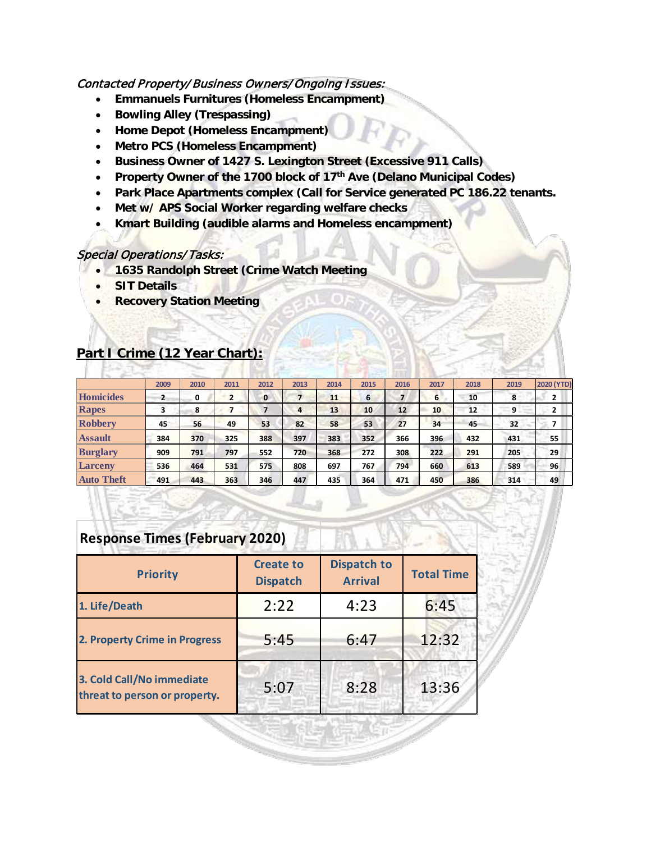## Contacted Property/Business Owners/Ongoing Issues:

- **Emmanuels Furnitures (Homeless Encampment)**
- **Bowling Alley (Trespassing)**
- **Home Depot (Homeless Encampment)**
- **Metro PCS (Homeless Encampment)**
- **Business Owner of 1427 S. Lexington Street (Excessive 911 Calls)**
- **Property Owner of the 1700 block of 17th Ave (Delano Municipal Codes)**
- **Park Place Apartments complex (Call for Service generated PC 186.22 tenants.**
- **Met w/ APS Social Worker regarding welfare checks**
- **Kmart Building (audible alarms and Homeless encampment)**

#### Special Operations/ Tasks:

- **1635 Randolph Street (Crime Watch Meeting**
- **SIT Details**
- **Recovery Station Meeting**

# **Part I Crime (12 Year Chart):**

|                   | 2009 | 2010 | 2011 | 2012         | 2013 | 2014 | 2015            | 2016 | 2017 | 2018 | 2019 | <b>2020 (YTD)</b> |
|-------------------|------|------|------|--------------|------|------|-----------------|------|------|------|------|-------------------|
| Homicides         | 2    | 0    | 2    | $\mathbf{0}$ | 7    | 11   | 6               |      | 6    | 10   | 8    |                   |
| Rapes             | 3    | 8    | 7    |              | 4    | 13   | 10 <sub>1</sub> | 12   | 10   | 12   | 9    | 2                 |
| <b>Robbery</b>    | 45   | 56   | 49   | 53           | 82   | 58   | 53              | 27   | 34   | 45   | 32   |                   |
| <b>Assault</b>    | 384  | 370  | 325  | 388          | 397  | 383  | 352             | 366  | 396  | 432  | 431  | 55                |
| <b>Burglary</b>   | 909  | 791  | 797  | 552          | 720  | 368  | 272             | 308  | 222  | 291  | 205  | 29                |
| <b>Larceny</b>    | 536  | 464  | 531  | 575          | 808  | 697  | 767             | 794  | 660  | 613  | 589  | 96                |
| <b>Auto Theft</b> | 491  | 443  | 363  | 346          | 447  | 435  | 364             | 471  | 450  | 386  | 314  | 49                |

## **Response Times (February 2020)**

| <b>Priority</b>                                            | <b>Create to</b><br><b>Dispatch</b> | <b>Dispatch to</b><br><b>Arrival</b> | <b>Total Time</b> |  |
|------------------------------------------------------------|-------------------------------------|--------------------------------------|-------------------|--|
| 1. Life/Death                                              | 2:22                                | 4:23                                 | 6:45              |  |
| 2. Property Crime in Progress                              | 5:45                                | 6:47                                 | 12:32             |  |
| 3. Cold Call/No immediate<br>threat to person or property. | 5:07                                | 8:28                                 | 13:36             |  |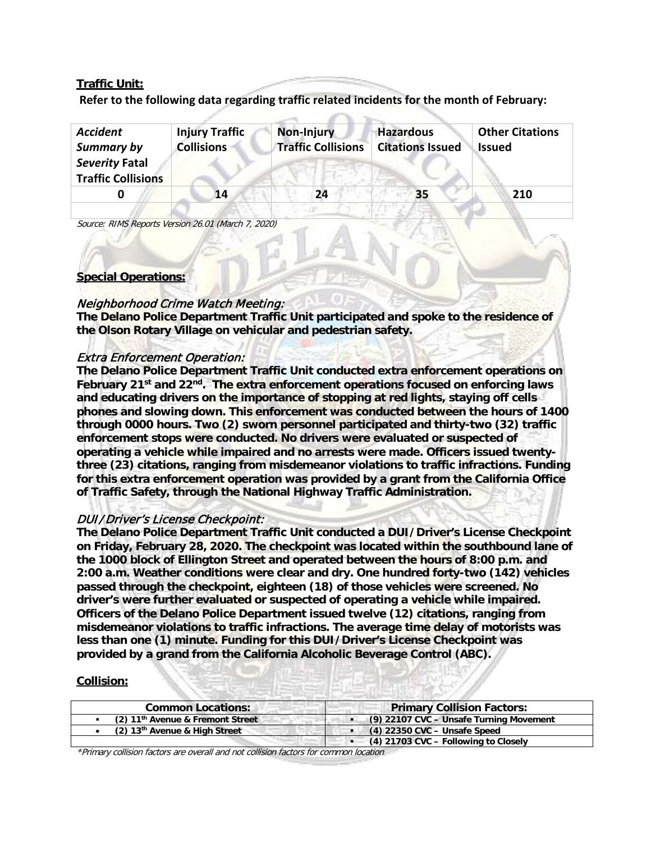### **Traffic Unit:**

**Refer to the following data regarding traffic related incidents for the month of February:** 

| <b>Accident</b><br>Summary by               | <b>Injury Traffic</b><br><b>Collisions</b> | Non-Injury<br><b>Traffic Collisions</b> | <b>Hazardous</b><br><b>Citations Issued</b> | <b>Other Citations</b><br><b>Issued</b> |
|---------------------------------------------|--------------------------------------------|-----------------------------------------|---------------------------------------------|-----------------------------------------|
| Severity Fatal<br><b>Traffic Collisions</b> |                                            |                                         |                                             |                                         |
|                                             | 14                                         | 24                                      | 35                                          | 210                                     |

Source: RIMS Reports Version 26.01 (March 7, 2020)

#### **Special Operations:**

### Neighborhood Crime Watch Meeting:

**The Delano Police Department Traffic Unit participated and spoke to the residence of the Olson Rotary Village on vehicular and pedestrian safety.**

#### Extra Enforcement Operation:

**The Delano Police Department Traffic Unit conducted extra enforcement operations on February 21st and 22nd. The extra enforcement operations focused on enforcing laws and educating drivers on the importance of stopping at red lights, staying off cells phones and slowing down. This enforcement was conducted between the hours of 1400 through 0000 hours. Two (2) sworn personnel participated and thirty-two (32) traffic enforcement stops were conducted. No drivers were evaluated or suspected of operating a vehicle while impaired and no arrests were made. Officers issued twentythree (23) citations, ranging from misdemeanor violations to traffic infractions. Funding for this extra enforcement operation was provided by a grant from the California Office of Traffic Safety, through the National Highway Traffic Administration.**

### DUI/Driver's License Checkpoint:

**The Delano Police Department Traffic Unit conducted a DUI/Driver's License Checkpoint on Friday, February 28, 2020. The checkpoint was located within the southbound lane of the 1000 block of Ellington Street and operated between the hours of 8:00 p.m. and 2:00 a.m. Weather conditions were clear and dry. One hundred forty-two (142) vehicles passed through the checkpoint, eighteen (18) of those vehicles were screened. No driver's were further evaluated or suspected of operating a vehicle while impaired. Officers of the Delano Police Department issued twelve (12) citations, ranging from misdemeanor violations to traffic infractions. The average time delay of motorists was less than one (1) minute. Funding for this DUI/Driver's License Checkpoint was provided by a grand from the California Alcoholic Beverage Control (ABC).**

#### **Collision:**

| <b>Common Locations:</b>                       | <b>Primary Collision Factors:</b>       |
|------------------------------------------------|-----------------------------------------|
| $(2)$ 11 <sup>th</sup> Avenue & Fremont Street | (9) 22107 CVC - Unsafe Turning Movement |
| $(2)$ 13 <sup>th</sup> Avenue & High Street    | $(4)$ 22350 CVC - Unsafe Speed          |
|                                                | $(4)$ 21703 CVC – Following to Closely  |

\*Primary collision factors are overall and not collision factors for common location